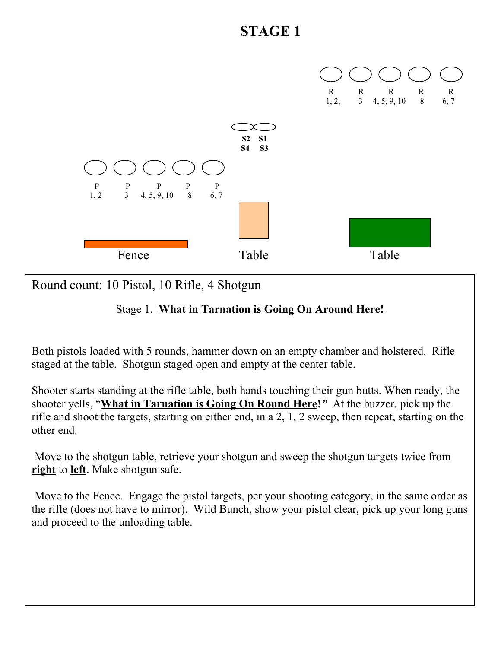

Round count: 10 Pistol, 10 Rifle, 4 Shotgun

### Stage 1. **What in Tarnation is Going On Around Here!**

Both pistols loaded with 5 rounds, hammer down on an empty chamber and holstered. Rifle staged at the table. Shotgun staged open and empty at the center table.

Shooter starts standing at the rifle table, both hands touching their gun butts. When ready, the shooter yells, "**What in Tarnation is Going On Round Here!***"* At the buzzer, pick up the rifle and shoot the targets, starting on either end, in a 2, 1, 2 sweep, then repeat, starting on the other end.

 Move to the shotgun table, retrieve your shotgun and sweep the shotgun targets twice from **right** to **left**. Make shotgun safe.

 Move to the Fence. Engage the pistol targets, per your shooting category, in the same order as the rifle (does not have to mirror). Wild Bunch, show your pistol clear, pick up your long guns and proceed to the unloading table.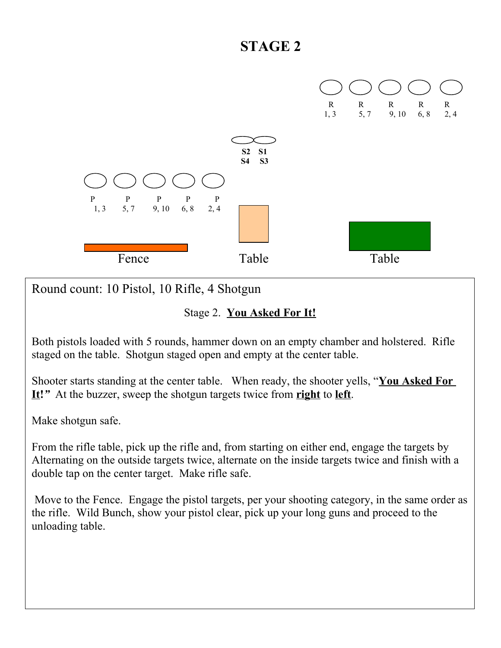

Round count: 10 Pistol, 10 Rifle, 4 Shotgun

#### Stage 2. **You Asked For It!**

Both pistols loaded with 5 rounds, hammer down on an empty chamber and holstered. Rifle staged on the table. Shotgun staged open and empty at the center table.

Shooter starts standing at the center table. When ready, the shooter yells, "**You Asked For It!***"* At the buzzer, sweep the shotgun targets twice from **right** to **left**.

Make shotgun safe.

From the rifle table, pick up the rifle and, from starting on either end, engage the targets by Alternating on the outside targets twice, alternate on the inside targets twice and finish with a double tap on the center target. Make rifle safe.

 Move to the Fence. Engage the pistol targets, per your shooting category, in the same order as the rifle. Wild Bunch, show your pistol clear, pick up your long guns and proceed to the unloading table.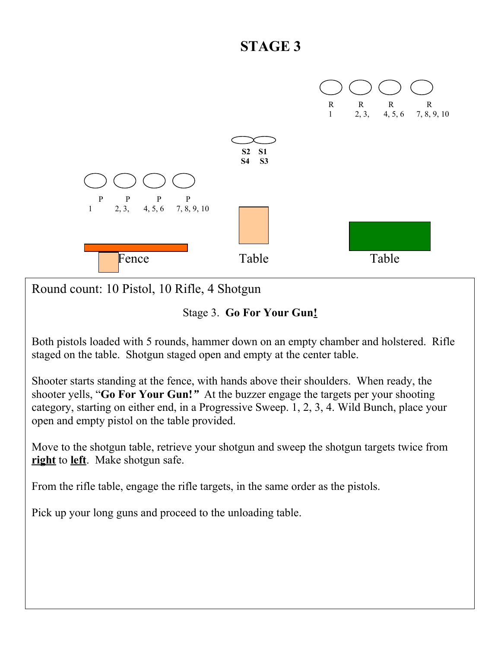

Round count: 10 Pistol, 10 Rifle, 4 Shotgun

Stage 3. **Go For Your Gun!**

Both pistols loaded with 5 rounds, hammer down on an empty chamber and holstered. Rifle staged on the table. Shotgun staged open and empty at the center table.

Shooter starts standing at the fence, with hands above their shoulders. When ready, the shooter yells, "**Go For Your Gun!***"* At the buzzer engage the targets per your shooting category, starting on either end, in a Progressive Sweep. 1, 2, 3, 4. Wild Bunch, place your open and empty pistol on the table provided.

Move to the shotgun table, retrieve your shotgun and sweep the shotgun targets twice from **right** to **left**. Make shotgun safe.

From the rifle table, engage the rifle targets, in the same order as the pistols.

Pick up your long guns and proceed to the unloading table.